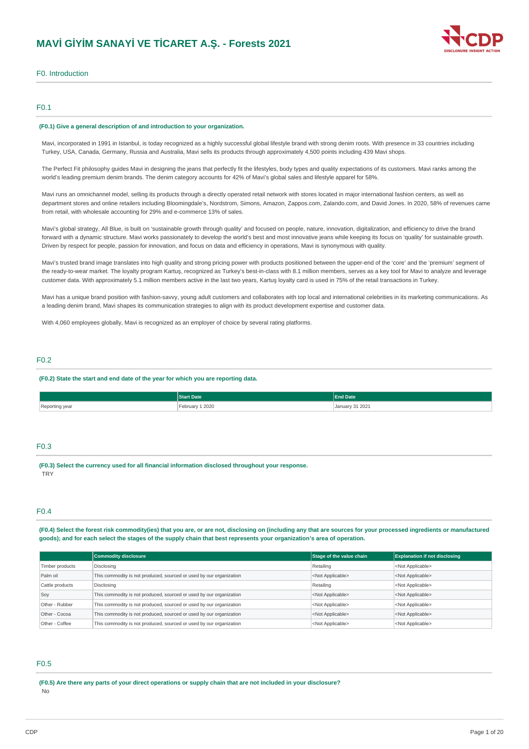

# F0. Introduction

# F0.1

#### **(F0.1) Give a general description of and introduction to your organization.**

Mavi, incorporated in 1991 in Istanbul, is today recognized as a highly successful global lifestyle brand with strong denim roots. With presence in 33 countries including Turkey, USA, Canada, Germany, Russia and Australia, Mavi sells its products through approximately 4,500 points including 439 Mavi shops.

The Perfect Fit philosophy guides Mavi in designing the jeans that perfectly fit the lifestyles, body types and quality expectations of its customers. Mavi ranks among the world's leading premium denim brands. The denim category accounts for 42% of Mavi's global sales and lifestyle apparel for 58%.

Mavi runs an omnichannel model, selling its products through a directly operated retail network with stores located in major international fashion centers, as well as department stores and online retailers including Bloomingdale's, Nordstrom, Simons, Amazon, Zappos.com, Zalando.com, and David Jones. In 2020, 58% of revenues came from retail, with wholesale accounting for 29% and e-commerce 13% of sales.

Mavi's global strategy, All Blue, is built on 'sustainable growth through quality' and focused on people, nature, innovation, digitalization, and efficiency to drive the brand forward with a dynamic structure. Mavi works passionately to develop the world's best and most innovative jeans while keeping its focus on 'quality' for sustainable growth. Driven by respect for people, passion for innovation, and focus on data and efficiency in operations, Mavi is synonymous with quality.

Mavi's trusted brand image translates into high quality and strong pricing power with products positioned between the upper-end of the 'core' and the 'premium' segment of the ready-to-wear market. The loyalty program Kartuş, recognized as Turkey's best-in-class with 8.1 million members, serves as a key tool for Mavi to analyze and leverage customer data. With approximately 5.1 million members active in the last two years, Kartuş loyalty card is used in 75% of the retail transactions in Turkey.

Mavi has a unique brand position with fashion-savvy, young adult customers and collaborates with top local and international celebrities in its marketing communications. As a leading denim brand, Mavi shapes its communication strategies to align with its product development expertise and customer data.

With 4,060 employees globally. May is recognized as an employer of choice by several rating platforms.

### F0.2

#### **(F0.2) State the start and end date of the year for which you are reporting data.**

|                | <b>Start Date</b>      | <b>End Date</b>      |
|----------------|------------------------|----------------------|
| Reporting year | oruary 1 2020<br>----- | January 31 2021<br>. |

# F0.3

**(F0.3) Select the currency used for all financial information disclosed throughout your response. TRY** 

### F0.4

(F0.4) Select the forest risk commodity(ies) that you are, or are not, disclosing on (including any that are sources for your processed ingredients or manufactured goods); and for each select the stages of the supply chain that best represents your organization's area of operation.

|                 | <b>Commodity disclosure</b>                                         | Stage of the value chain  | <b>Explanation if not disclosing</b> |
|-----------------|---------------------------------------------------------------------|---------------------------|--------------------------------------|
| Timber products | Disclosing                                                          | Retailing                 | <not applicable=""></not>            |
| Palm oil        | This commodity is not produced, sourced or used by our organization | <not applicable=""></not> | <not applicable=""></not>            |
| Cattle products | Disclosing                                                          | Retailing                 | <not applicable=""></not>            |
| Soy             | This commodity is not produced, sourced or used by our organization | <not applicable=""></not> | <not applicable=""></not>            |
| Other - Rubber  | This commodity is not produced, sourced or used by our organization | <not applicable=""></not> | <not applicable=""></not>            |
| Other - Cocoa   | This commodity is not produced, sourced or used by our organization | <not applicable=""></not> | <not applicable=""></not>            |
| Other - Coffee  | This commodity is not produced, sourced or used by our organization | <not applicable=""></not> | <not applicable=""></not>            |

### F0.5

(F0.5) Are there any parts of your direct operations or supply chain that are not included in your disclosure? No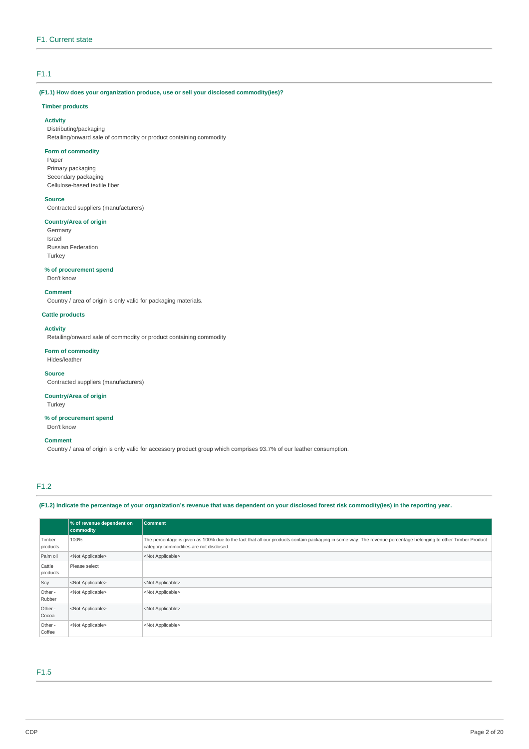# F1.1

# **(F1.1) How does your organization produce, use or sell your disclosed commodity(ies)?**

### **Timber products**

**Activity** Distributing/packaging Retailing/onward sale of commodity or product containing commodity

### **Form of commodity**

Paper Primary packaging Secondary packaging Cellulose-based textile fiber

### **Source**

Contracted suppliers (manufacturers)

### **Country/Area of origin**

Germany Israel Russian Federation Turkey

# **% of procurement spend**

Don't know

### **Comment**

Country / area of origin is only valid for packaging materials.

### **Cattle products**

## **Activity**

Retailing/onward sale of commodity or product containing commodity

#### **Form of commodity**

Hides/leather

#### **Source**

Contracted suppliers (manufacturers)

#### **Country/Area of origin**

Turkey

# **% of procurement spend**

Don't know

### **Comment**

Country / area of origin is only valid for accessory product group which comprises 93.7% of our leather consumption.

# F1.2

(F1.2) Indicate the percentage of your organization's revenue that was dependent on your disclosed forest risk commodity(ies) in the reporting year.

|                    | % of revenue dependent on<br>commodity | Comment                                                                                                                                                                                                  |
|--------------------|----------------------------------------|----------------------------------------------------------------------------------------------------------------------------------------------------------------------------------------------------------|
| Timber<br>products | 100%                                   | The percentage is given as 100% due to the fact that all our products contain packaging in some way. The revenue percentage belonging to other Timber Product<br>category commodities are not disclosed. |
| Palm oil           | <not applicable=""></not>              | <not applicable=""></not>                                                                                                                                                                                |
| Cattle<br>products | Please select                          |                                                                                                                                                                                                          |
| Soy                | <not applicable=""></not>              | <not applicable=""></not>                                                                                                                                                                                |
| Other -<br>Rubber  | <not applicable=""></not>              | <not applicable=""></not>                                                                                                                                                                                |
| Other -<br>Cocoa   | <not applicable=""></not>              | <not applicable=""></not>                                                                                                                                                                                |
| Other -<br>Coffee  | <not applicable=""></not>              | <not applicable=""></not>                                                                                                                                                                                |

# F1.5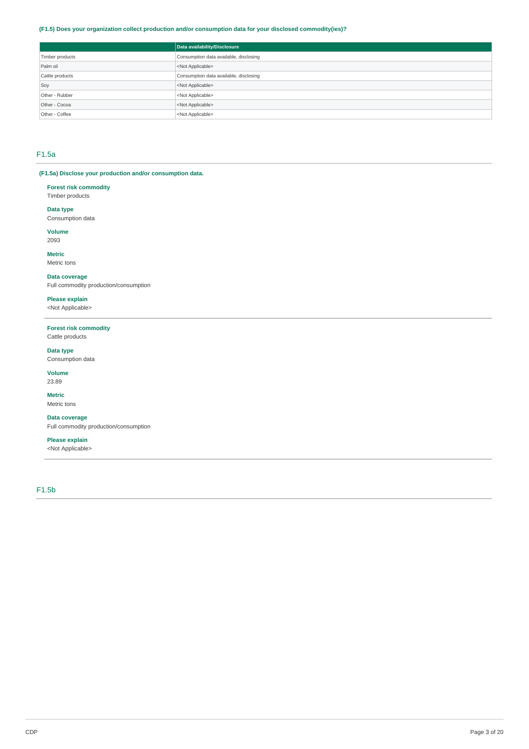### **(F1.5) Does your organization collect production and/or consumption data for your disclosed commodity(ies)?**

|                 | Data availability/Disclosure           |
|-----------------|----------------------------------------|
| Timber products | Consumption data available, disclosing |
| Palm oil        | <not applicable=""></not>              |
| Cattle products | Consumption data available, disclosing |
| Soy             | <not applicable=""></not>              |
| Other - Rubber  | <not applicable=""></not>              |
| Other - Cocoa   | <not applicable=""></not>              |
| Other - Coffee  | <not applicable=""></not>              |

# F1.5a

# **(F1.5a) Disclose your production and/or consumption data.**

**Forest risk commodity** Timber products

**Data type**

Consumption data

**Volume** 2093

**Metric**

Metric tons

# **Data coverage**

Full commodity production/consumption

**Please explain**

<Not Applicable>

### **Forest risk commodity** Cattle products

**Data type**

Consumption data

**Volume** 23.89

# **Metric**

Metric tons

# **Data coverage**

Full commodity production/consumption

# **Please explain**

<Not Applicable>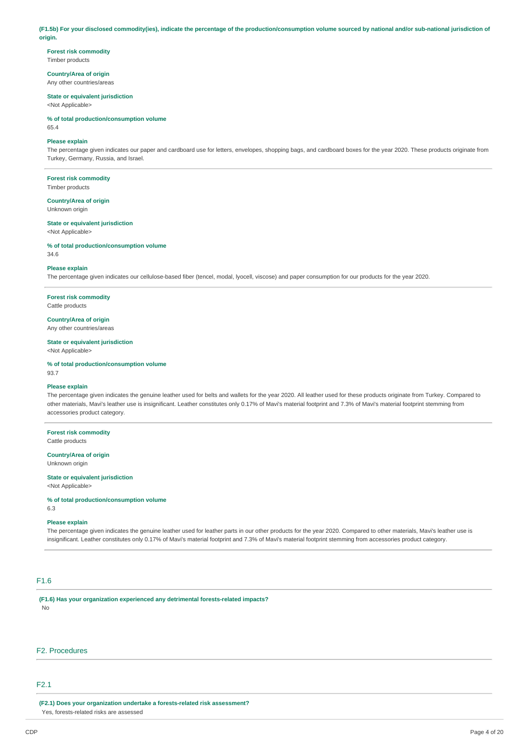(F1.5b) For your disclosed commodity(ies), indicate the percentage of the production/consumption volume sourced by national and/or sub-national jurisdiction of **origin.**

**Forest risk commodity** Timber products

**Country/Area of origin** Any other countries/areas

#### **State or equivalent jurisdiction** <Not Applicable>

**% of total production/consumption volume**

65.4

### **Please explain**

The percentage given indicates our paper and cardboard use for letters, envelopes, shopping bags, and cardboard boxes for the year 2020. These products originate from Turkey, Germany, Russia, and Israel.

**Forest risk commodity**

Timber products

**Country/Area of origin** Unknown origin

**State or equivalent jurisdiction** <Not Applicable>

**% of total production/consumption volume**

34.6

#### **Please explain**

The percentage given indicates our cellulose-based fiber (tencel, modal, lyocell, viscose) and paper consumption for our products for the year 2020.

**Forest risk commodity** Cattle products

**Country/Area of origin**

Any other countries/areas

# **State or equivalent jurisdiction**

<Not Applicable>

**% of total production/consumption volume** 93.7

#### **Please explain**

The percentage given indicates the genuine leather used for belts and wallets for the year 2020. All leather used for these products originate from Turkey. Compared to other materials, Mavi's leather use is insignificant. Leather constitutes only 0.17% of Mavi's material footprint and 7.3% of Mavi's material footprint stemming from accessories product category.

**Forest risk commodity**

Cattle products

**Country/Area of origin** Unknown origin

#### **State or equivalent jurisdiction**

<Not Applicable>

**% of total production/consumption volume**

6.3

### **Please explain**

The percentage given indicates the genuine leather used for leather parts in our other products for the year 2020. Compared to other materials, Mavi's leather use is insignificant. Leather constitutes only 0.17% of Mavi's material footprint and 7.3% of Mavi's material footprint stemming from accessories product category.

# F1.6

**(F1.6) Has your organization experienced any detrimental forests-related impacts?** No

# F2. Procedures

### F2.1

**(F2.1) Does your organization undertake a forests-related risk assessment?** Yes, forests-related risks are assessed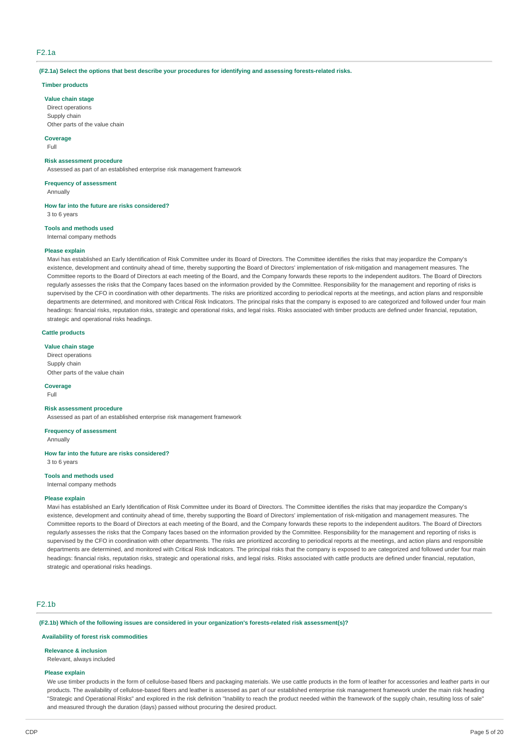# F2.1a

**(F2.1a) Select the options that best describe your procedures for identifying and assessing forests-related risks.**

### **Timber products**

#### **Value chain stage**

Direct operations Supply chain Other parts of the value chain

# **Coverage**

Full

### **Risk assessment procedure**

Assessed as part of an established enterprise risk management framework

#### **Frequency of assessment**

Annually

**How far into the future are risks considered?**

3 to 6 years

# **Tools and methods used**

Internal company methods

#### **Please explain**

Mavi has established an Early Identification of Risk Committee under its Board of Directors. The Committee identifies the risks that may jeopardize the Company's existence, development and continuity ahead of time, thereby supporting the Board of Directors' implementation of risk-mitigation and management measures. The Committee reports to the Board of Directors at each meeting of the Board, and the Company forwards these reports to the independent auditors. The Board of Directors regularly assesses the risks that the Company faces based on the information provided by the Committee. Responsibility for the management and reporting of risks is supervised by the CFO in coordination with other departments. The risks are prioritized according to periodical reports at the meetings, and action plans and responsible departments are determined, and monitored with Critical Risk Indicators. The principal risks that the company is exposed to are categorized and followed under four main headings: financial risks, reputation risks, strategic and operational risks, and legal risks. Risks associated with timber products are defined under financial, reputation, strategic and operational risks headings.

#### **Cattle products**

## **Value chain stage**

Direct operations Supply chain Other parts of the value chain

#### **Coverage** Full

# **Risk assessment procedure**

Assessed as part of an established enterprise risk management framework

# **Frequency of assessment**

Annually

# **How far into the future are risks considered?**

3 to 6 years

# **Tools and methods used**

Internal company methods

### **Please explain**

Mavi has established an Early Identification of Risk Committee under its Board of Directors. The Committee identifies the risks that may jeopardize the Company's existence, development and continuity ahead of time, thereby supporting the Board of Directors' implementation of risk-mitigation and management measures. The Committee reports to the Board of Directors at each meeting of the Board, and the Company forwards these reports to the independent auditors. The Board of Directors regularly assesses the risks that the Company faces based on the information provided by the Committee. Responsibility for the management and reporting of risks is supervised by the CFO in coordination with other departments. The risks are prioritized according to periodical reports at the meetings, and action plans and responsible departments are determined, and monitored with Critical Risk Indicators. The principal risks that the company is exposed to are categorized and followed under four main headings: financial risks, reputation risks, strategic and operational risks, and legal risks. Risks associated with cattle products are defined under financial, reputation, strategic and operational risks headings.

# F2.1b

**(F2.1b) Which of the following issues are considered in your organization's forests-related risk assessment(s)?**

#### **Availability of forest risk commodities**

#### **Relevance & inclusion**

Relevant, always included

#### **Please explain**

We use timber products in the form of cellulose-based fibers and packaging materials. We use cattle products in the form of leather for accessories and leather parts in our products. The availability of cellulose-based fibers and leather is assessed as part of our established enterprise risk management framework under the main risk heading "Strategic and Operational Risks" and explored in the risk definition "Inability to reach the product needed within the framework of the supply chain, resulting loss of sale" and measured through the duration (days) passed without procuring the desired product.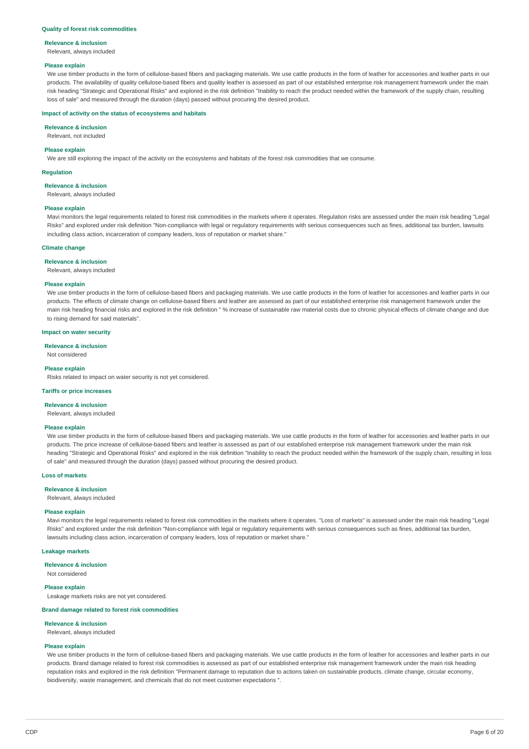#### **Quality of forest risk commodities**

#### **Relevance & inclusion**

Relevant, always included

#### **Please explain**

We use timber products in the form of cellulose-based fibers and packaging materials. We use cattle products in the form of leather for accessories and leather parts in our products. The availability of quality cellulose-based fibers and quality leather is assessed as part of our established enterprise risk management framework under the main risk heading "Strategic and Operational Risks" and explored in the risk definition "Inability to reach the product needed within the framework of the supply chain, resulting loss of sale" and measured through the duration (days) passed without procuring the desired product.

#### **Impact of activity on the status of ecosystems and habitats**

**Relevance & inclusion**

Relevant, not included

### **Please explain**

We are still exploring the impact of the activity on the ecosystems and habitats of the forest risk commodities that we consume.

#### **Regulation**

**Relevance & inclusion**

Relevant, always included

#### **Please explain**

Mavi monitors the legal requirements related to forest risk commodities in the markets where it operates. Regulation risks are assessed under the main risk heading "Legal Risks" and explored under risk definition "Non-compliance with legal or regulatory requirements with serious consequences such as fines, additional tax burden, lawsuits including class action, incarceration of company leaders, loss of reputation or market share."

### **Climate change**

#### **Relevance & inclusion**

Relevant, always included

#### **Please explain**

We use timber products in the form of cellulose-based fibers and packaging materials. We use cattle products in the form of leather for accessories and leather parts in our products. The effects of climate change on cellulose-based fibers and leather are assessed as part of our established enterprise risk management framework under the main risk heading financial risks and explored in the risk definition " % increase of sustainable raw material costs due to chronic physical effects of climate change and due to rising demand for said materials".

#### **Impact on water security**

**Relevance & inclusion**

### Not considered

#### **Please explain**

Risks related to impact on water security is not yet considered.

#### **Tariffs or price increases**

**Relevance & inclusion**

Relevant, always included

#### **Please explain**

We use timber products in the form of cellulose-based fibers and packaging materials. We use cattle products in the form of leather for accessories and leather parts in our products. The price increase of cellulose-based fibers and leather is assessed as part of our established enterprise risk management framework under the main risk heading "Strategic and Operational Risks" and explored in the risk definition "Inability to reach the product needed within the framework of the supply chain, resulting in loss of sale" and measured through the duration (days) passed without procuring the desired product.

#### **Loss of markets**

#### **Relevance & inclusion**

Relevant, always included

## **Please explain**

Mavi monitors the legal requirements related to forest risk commodities in the markets where it operates. "Loss of markets" is assessed under the main risk heading "Legal Risks" and explored under the risk definition "Non-compliance with legal or regulatory requirements with serious consequences such as fines, additional tax burden, lawsuits including class action, incarceration of company leaders, loss of reputation or market share."

#### **Leakage markets**

### **Relevance & inclusion**

Not considered

# **Please explain**

Leakage markets risks are not yet considered.

### **Brand damage related to forest risk commodities**

**Relevance & inclusion**

# Relevant, always included

# **Please explain**

We use timber products in the form of cellulose-based fibers and packaging materials. We use cattle products in the form of leather for accessories and leather parts in our products. Brand damage related to forest risk commodities is assessed as part of our established enterprise risk management framework under the main risk heading reputation risks and explored in the risk definition "Permanent damage to reputation due to actions taken on sustainable products, climate change, circular economy, biodiversity, waste management, and chemicals that do not meet customer expectations ".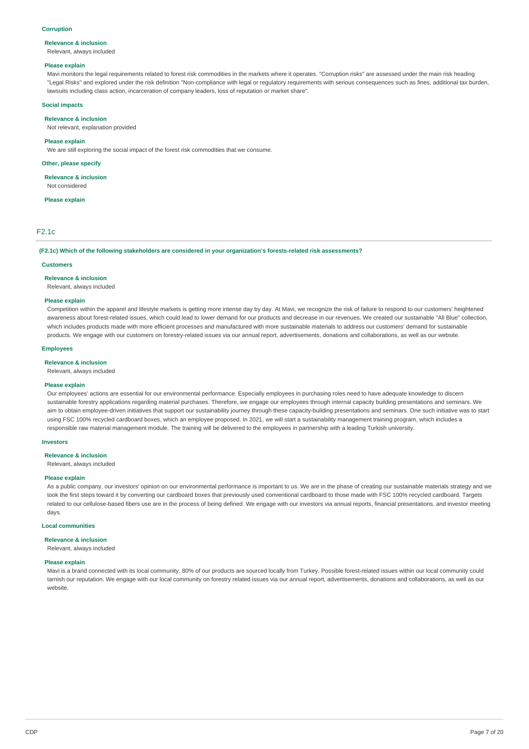#### **Corruption**

#### **Relevance & inclusion**

Relevant, always included

#### **Please explain**

Mavi monitors the legal requirements related to forest risk commodities in the markets where it operates. "Corruption risks" are assessed under the main risk heading "Legal Risks" and explored under the risk definition "Non-compliance with legal or regulatory requirements with serious consequences such as fines, additional tax burden, lawsuits including class action, incarceration of company leaders, loss of reputation or market share".

### **Social impacts**

#### **Relevance & inclusion**

Not relevant, explanation provided

#### **Please explain**

We are still exploring the social impact of the forest risk commodities that we consume.

**Other, please specify**

### **Relevance & inclusion**

Not considered

# **Please explain**

### F2.1c

**(F2.1c) Which of the following stakeholders are considered in your organization's forests-related risk assessments?**

#### **Customers**

**Relevance & inclusion**

Relevant, always included

#### **Please explain**

Competition within the apparel and lifestyle markets is getting more intense day by day. At Mavi, we recognize the risk of failure to respond to our customers' heightened awareness about forest-related issues, which could lead to lower demand for our products and decrease in our revenues. We created our sustainable "All Blue" collection, which includes products made with more efficient processes and manufactured with more sustainable materials to address our customers' demand for sustainable products. We engage with our customers on forestry-related issues via our annual report, advertisements, donations and collaborations, as well as our website.

#### **Employees**

**Relevance & inclusion**

#### Relevant, always included

#### **Please explain**

Our employees' actions are essential for our environmental performance. Especially employees in purchasing roles need to have adequate knowledge to discern sustainable forestry applications regarding material purchases. Therefore, we engage our employees through internal capacity building presentations and seminars. We aim to obtain employee-driven initiatives that support our sustainability journey through these capacity-building presentations and seminars. One such initiative was to start using FSC 100% recycled cardboard boxes, which an employee proposed. In 2021, we will start a sustainability management training program, which includes a responsible raw material management module. The training will be delivered to the employees in partnership with a leading Turkish university.

#### **Investors**

**Relevance & inclusion**

# Relevant, always included

#### **Please explain**

As a public company, our investors' opinion on our environmental performance is important to us. We are in the phase of creating our sustainable materials strategy and we took the first steps toward it by converting our cardboard boxes that previously used conventional cardboard to those made with FSC 100% recycled cardboard. Targets related to our cellulose-based fibers use are in the process of being defined. We engage with our investors via annual reports, financial presentations, and investor meeting days.

#### **Local communities**

#### **Relevance & inclusion**

Relevant, always included

### **Please explain**

Mavi is a brand connected with its local community. 80% of our products are sourced locally from Turkey. Possible forest-related issues within our local community could tarnish our reputation. We engage with our local community on forestry related issues via our annual report, advertisements, donations and collaborations, as well as our website.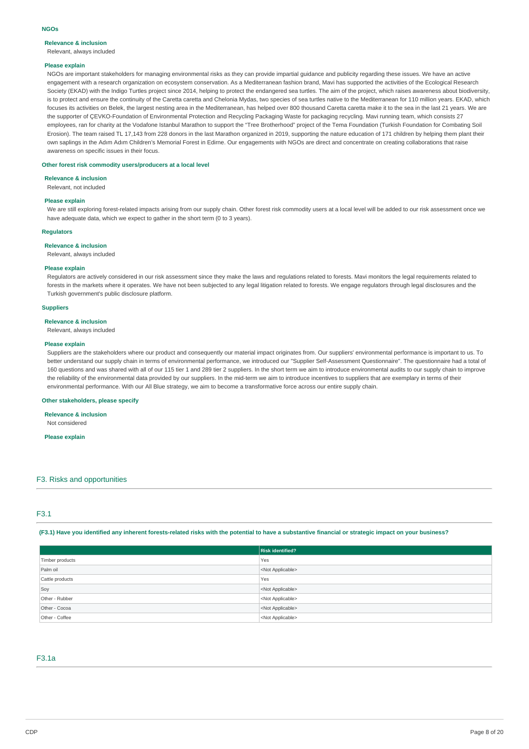# **Relevance & inclusion**

Relevant, always included

#### **Please explain**

NGOs are important stakeholders for managing environmental risks as they can provide impartial guidance and publicity regarding these issues. We have an active engagement with a research organization on ecosystem conservation. As a Mediterranean fashion brand, Mavi has supported the activities of the Ecological Research Society (EKAD) with the Indigo Turtles project since 2014, helping to protect the endangered sea turtles. The aim of the project, which raises awareness about biodiversity, is to protect and ensure the continuity of the Caretta caretta and Chelonia Mydas, two species of sea turtles native to the Mediterranean for 110 million years. EKAD, which focuses its activities on Belek, the largest nesting area in the Mediterranean, has helped over 800 thousand Caretta caretta make it to the sea in the last 21 years. We are the supporter of ÇEVKO-Foundation of Environmental Protection and Recycling Packaging Waste for packaging recycling. Mavi running team, which consists 27 employees, ran for charity at the Vodafone Istanbul Marathon to support the "Tree Brotherhood" project of the Tema Foundation (Turkish Foundation for Combating Soil Erosion). The team raised TL 17,143 from 228 donors in the last Marathon organized in 2019, supporting the nature education of 171 children by helping them plant their own saplings in the Adım Adım Children's Memorial Forest in Edirne. Our engagements with NGOs are direct and concentrate on creating collaborations that raise awareness on specific issues in their focus.

### **Other forest risk commodity users/producers at a local level**

#### **Relevance & inclusion**

Relevant, not included

#### **Please explain**

We are still exploring forest-related impacts arising from our supply chain. Other forest risk commodity users at a local level will be added to our risk assessment once we have adequate data, which we expect to gather in the short term (0 to 3 years).

## **Regulators**

#### **Relevance & inclusion**

Relevant, always included

### **Please explain**

Regulators are actively considered in our risk assessment since they make the laws and regulations related to forests. Mavi monitors the legal requirements related to forests in the markets where it operates. We have not been subjected to any legal litigation related to forests. We engage regulators through legal disclosures and the Turkish government's public disclosure platform.

### **Suppliers**

#### **Relevance & inclusion**

Relevant, always included

#### **Please explain**

Suppliers are the stakeholders where our product and consequently our material impact originates from. Our suppliers' environmental performance is important to us. To better understand our supply chain in terms of environmental performance, we introduced our "Supplier Self-Assessment Questionnaire". The questionnaire had a total of 160 questions and was shared with all of our 115 tier 1 and 289 tier 2 suppliers. In the short term we aim to introduce environmental audits to our supply chain to improve the reliability of the environmental data provided by our suppliers. In the mid-term we aim to introduce incentives to suppliers that are exemplary in terms of their environmental performance. With our All Blue strategy, we aim to become a transformative force across our entire supply chain.

#### **Other stakeholders, please specify**

# **Relevance & inclusion**

Not considered

### **Please explain**

#### F3. Risks and opportunities

# F3.1

(F3.1) Have you identified any inherent forests-related risks with the potential to have a substantive financial or strategic impact on your business?

|                 | <b>Risk identified?</b>   |
|-----------------|---------------------------|
| Timber products | Yes                       |
| Palm oil        | <not applicable=""></not> |
| Cattle products | Yes                       |
| Soy             | <not applicable=""></not> |
| Other - Rubber  | <not applicable=""></not> |
| Other - Cocoa   | <not applicable=""></not> |
| Other - Coffee  | <not applicable=""></not> |

## F3.1a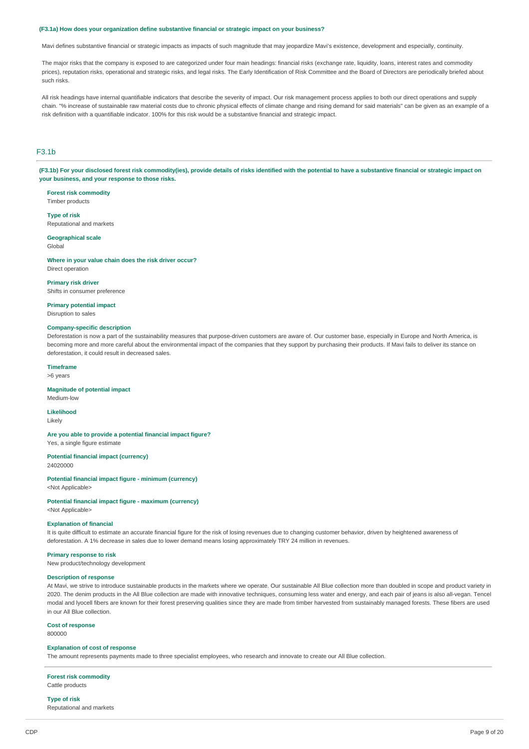#### **(F3.1a) How does your organization define substantive financial or strategic impact on your business?**

Mavi defines substantive financial or strategic impacts as impacts of such magnitude that may jeopardize Mavi's existence, development and especially, continuity,

The major risks that the company is exposed to are categorized under four main headings: financial risks (exchange rate, liquidity, loans, interest rates and commodity prices), reputation risks, operational and strategic risks, and legal risks. The Early Identification of Risk Committee and the Board of Directors are periodically briefed about such risks.

All risk headings have internal quantifiable indicators that describe the severity of impact. Our risk management process applies to both our direct operations and supply chain. "% increase of sustainable raw material costs due to chronic physical effects of climate change and rising demand for said materials" can be given as an example of a risk definition with a quantifiable indicator. 100% for this risk would be a substantive financial and strategic impact.

# F3.1b

(F3.1b) For your disclosed forest risk commodity(ies), provide details of risks identified with the potential to have a substantive financial or strategic impact on **your business, and your response to those risks.**

**Forest risk commodity** Timber products

**Type of risk** Reputational and markets

#### **Geographical scale** Global

**Where in your value chain does the risk driver occur?**

Direct operation

**Primary risk driver** Shifts in consumer preference

**Primary potential impact**

Disruption to sales

## **Company-specific description**

Deforestation is now a part of the sustainability measures that purpose-driven customers are aware of. Our customer base, especially in Europe and North America, is becoming more and more careful about the environmental impact of the companies that they support by purchasing their products. If Mavi fails to deliver its stance on deforestation, it could result in decreased sales.

## **Timeframe**

>6 years

### **Magnitude of potential impact**

Medium-low

**Likelihood**

Likely

**Are you able to provide a potential financial impact figure?** Yes, a single figure estimate

# **Potential financial impact (currency)**

24020000

**Potential financial impact figure - minimum (currency)** <Not Applicable>

**Potential financial impact figure - maximum (currency)** <Not Applicable>

### **Explanation of financial**

It is quite difficult to estimate an accurate financial figure for the risk of losing revenues due to changing customer behavior, driven by heightened awareness of deforestation. A 1% decrease in sales due to lower demand means losing approximately TRY 24 million in revenues.

#### **Primary response to risk**

New product/technology development

### **Description of response**

At Mavi, we strive to introduce sustainable products in the markets where we operate. Our sustainable All Blue collection more than doubled in scope and product variety in 2020. The denim products in the All Blue collection are made with innovative techniques, consuming less water and energy, and each pair of jeans is also all-vegan. Tencel modal and lyocell fibers are known for their forest preserving qualities since they are made from timber harvested from sustainably managed forests. These fibers are used in our All Blue collection.

## **Cost of response**

800000

### **Explanation of cost of response**

The amount represents payments made to three specialist employees, who research and innovate to create our All Blue collection.

### **Forest risk commodity**

Cattle products

#### **Type of risk**

Reputational and markets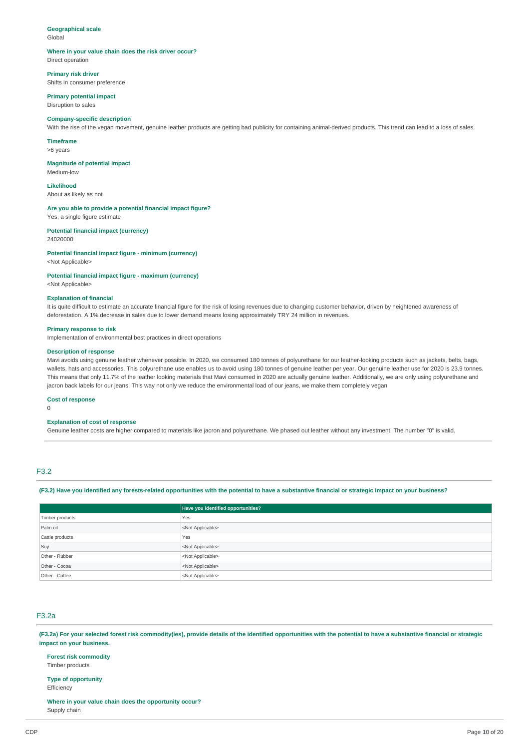# **Geographical scale**

Global

#### **Where in your value chain does the risk driver occur?** Direct operation

**Primary risk driver** Shifts in consumer preference

**Primary potential impact**

# Disruption to sales

#### **Company-specific description**

With the rise of the vegan movement, genuine leather products are getting bad publicity for containing animal-derived products. This trend can lead to a loss of sales.

**Timeframe**

>6 years

**Magnitude of potential impact** Medium-low

**Likelihood** About as likely as not

**Are you able to provide a potential financial impact figure?** Yes, a single figure estimate

#### **Potential financial impact (currency)** 24020000

**Potential financial impact figure - minimum (currency)** <Not Applicable>

# **Potential financial impact figure - maximum (currency)**

<Not Applicable>

#### **Explanation of financial**

It is quite difficult to estimate an accurate financial figure for the risk of losing revenues due to changing customer behavior, driven by heightened awareness of deforestation. A 1% decrease in sales due to lower demand means losing approximately TRY 24 million in revenues.

#### **Primary response to risk**

Implementation of environmental best practices in direct operations

### **Description of response**

Mavi avoids using genuine leather whenever possible. In 2020, we consumed 180 tonnes of polyurethane for our leather-looking products such as jackets, belts, bags, wallets, hats and accessories. This polyurethane use enables us to avoid using 180 tonnes of genuine leather per year. Our genuine leather use for 2020 is 23.9 tonnes. This means that only 11.7% of the leather looking materials that Mavi consumed in 2020 are actually genuine leather. Additionally, we are only using polyurethane and jacron back labels for our jeans. This way not only we reduce the environmental load of our jeans, we make them completely vegan

### **Cost of response**

 $\Omega$ 

### **Explanation of cost of response**

Genuine leather costs are higher compared to materials like jacron and polyurethane. We phased out leather without any investment. The number "0" is valid.

# F3.2

#### (F3.2) Have you identified any forests-related opportunities with the potential to have a substantive financial or strategic impact on your business?

|                 | Have you identified opportunities? |  |
|-----------------|------------------------------------|--|
| Timber products | Yes                                |  |
| Palm oil        | <not applicable=""></not>          |  |
| Cattle products | Yes                                |  |
| Soy             | <not applicable=""></not>          |  |
| Other - Rubber  | <not applicable=""></not>          |  |
| Other - Cocoa   | <not applicable=""></not>          |  |
| Other - Coffee  | <not applicable=""></not>          |  |

# F3.2a

(F3.2a) For your selected forest risk commodity(ies), provide details of the identified opportunities with the potential to have a substantive financial or strategic **impact on your business.**

**Forest risk commodity**

# Timber products

**Type of opportunity Efficiency** 

**Where in your value chain does the opportunity occur?** Supply chain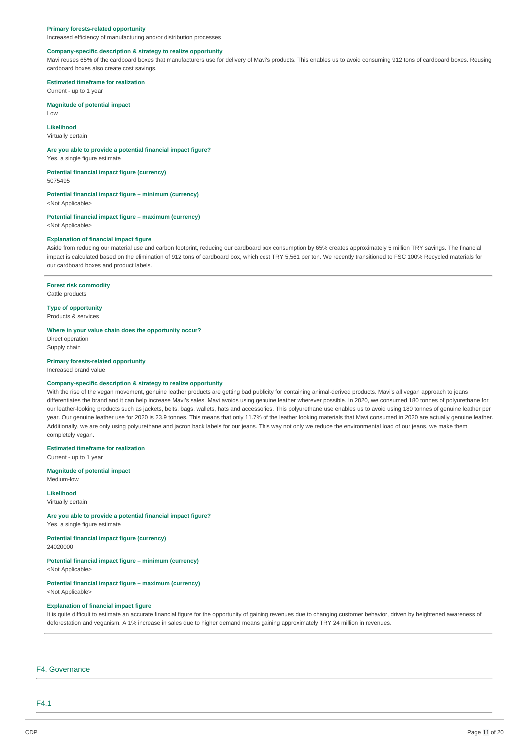#### **Primary forests-related opportunity**

Increased efficiency of manufacturing and/or distribution processes

# **Company-specific description & strategy to realize opportunity**

Mavi reuses 65% of the cardboard boxes that manufacturers use for delivery of Mavi's products. This enables us to avoid consuming 912 tons of cardboard boxes. Reusing cardboard boxes also create cost savings.

### **Estimated timeframe for realization**

Current - up to 1 year

### **Magnitude of potential impact**

Low

# **Likelihood**

Virtually certain

#### **Are you able to provide a potential financial impact figure?**

Yes, a single figure estimate

# **Potential financial impact figure (currency)**

5075495

# **Potential financial impact figure – minimum (currency)**

<Not Applicable>

#### **Potential financial impact figure – maximum (currency)** <Not Applicable>

#### **Explanation of financial impact figure**

Aside from reducing our material use and carbon footprint, reducing our cardboard box consumption by 65% creates approximately 5 million TRY savings. The financial impact is calculated based on the elimination of 912 tons of cardboard box, which cost TRY 5,561 per ton. We recently transitioned to FSC 100% Recycled materials for our cardboard boxes and product labels.

# **Forest risk commodity**

Cattle products

**Type of opportunity** Products & services

#### **Where in your value chain does the opportunity occur?**

Direct operation Supply chain

### **Primary forests-related opportunity**

Increased brand value

# **Company-specific description & strategy to realize opportunity**

With the rise of the vegan movement, genuine leather products are getting bad publicity for containing animal-derived products. Mavi's all vegan approach to jeans differentiates the brand and it can help increase Mavi's sales. Mavi avoids using genuine leather wherever possible. In 2020, we consumed 180 tonnes of polyurethane for our leather-looking products such as jackets, belts, bags, wallets, hats and accessories. This polyurethane use enables us to avoid using 180 tonnes of genuine leather per year. Our genuine leather use for 2020 is 23.9 tonnes. This means that only 11.7% of the leather looking materials that Mavi consumed in 2020 are actually genuine leather. Additionally, we are only using polyurethane and jacron back labels for our jeans. This way not only we reduce the environmental load of our jeans, we make them completely vegan.

#### **Estimated timeframe for realization**

Current - up to 1 year

# **Magnitude of potential impact**

Medium-low

**Likelihood** Virtually certain

# **Are you able to provide a potential financial impact figure?**

Yes, a single figure estimate

#### **Potential financial impact figure (currency)** 24020000

# **Potential financial impact figure – minimum (currency)**

<Not Applicable>

#### **Potential financial impact figure – maximum (currency)** <Not Applicable>

### **Explanation of financial impact figure**

It is quite difficult to estimate an accurate financial figure for the opportunity of gaining revenues due to changing customer behavior, driven by heightened awareness of deforestation and veganism. A 1% increase in sales due to higher demand means gaining approximately TRY 24 million in revenues.

# F4. Governance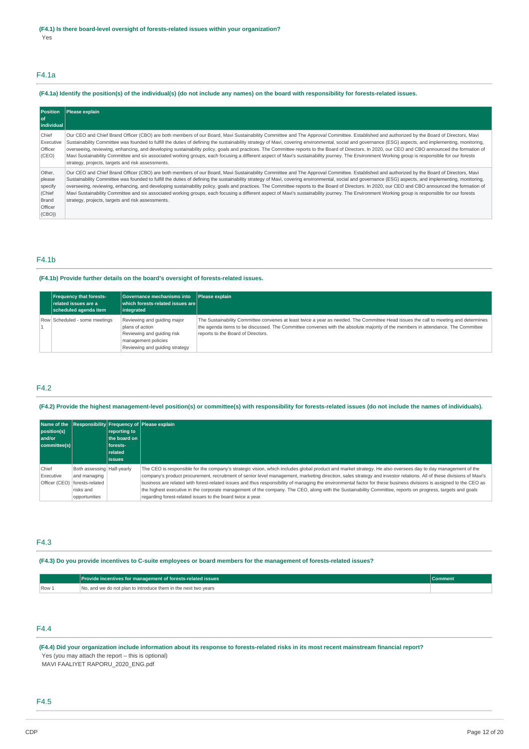# F4.1a

# (F4.1a) Identify the position(s) of the individual(s) (do not include any names) on the board with responsibility for forests-related issues.

| <b>Position</b><br>l of<br>individual                              | Please explain                                                                                                                                                                                                                                                                                                                                                                                                                                                                                                                                                                                                                                                                                                                                                                                                                                                    |
|--------------------------------------------------------------------|-------------------------------------------------------------------------------------------------------------------------------------------------------------------------------------------------------------------------------------------------------------------------------------------------------------------------------------------------------------------------------------------------------------------------------------------------------------------------------------------------------------------------------------------------------------------------------------------------------------------------------------------------------------------------------------------------------------------------------------------------------------------------------------------------------------------------------------------------------------------|
| Chief<br>Executive<br>Officer<br>(CEO)                             | Our CEO and Chief Brand Officer (CBO) are both members of our Board, Mavi Sustainability Committee and The Approval Committee. Established and authorized by the Board of Directors, Mavi<br>Sustainability Committee was founded to fulfill the duties of defining the sustainability strategy of Mavi, covering environmental, social and governance (ESG) aspects, and implementing, monitoring,<br>overseeing, reviewing, enhancing, and developing sustainability policy, goals and practices. The Committee reports to the Board of Directors. In 2020, our CEO and CBO announced the formation of<br>Mavi Sustainability Committee and six associated working groups, each focusing a different aspect of Mavi's sustainability journey. The Environment Working group is responsible for our forests<br>strategy, projects, targets and risk assessments. |
| Other,<br>please<br>specify<br>(Chief<br>Brand<br>Officer<br>(CBO) | Our CEO and Chief Brand Officer (CBO) are both members of our Board, Mavi Sustainability Committee and The Approval Committee. Established and authorized by the Board of Directors, Mavi<br>Sustainability Committee was founded to fulfill the duties of defining the sustainability strategy of Mavi, covering environmental, social and governance (ESG) aspects, and implementing, monitoring,<br>overseeing, reviewing, enhancing, and developing sustainability policy, goals and practices. The Committee reports to the Board of Directors. In 2020, our CEO and CBO announced the formation of<br>Mavi Sustainability Committee and six associated working groups, each focusing a different aspect of Mavi's sustainability journey. The Environment Working group is responsible for our forests<br>strategy, projects, targets and risk assessments. |

# F4.1b

#### **(F4.1b) Provide further details on the board's oversight of forests-related issues.**

| <b>Frequency that forests-</b><br>related issues are a<br>scheduled agenda item                                                                                        | Governance mechanisms into<br>$\mid$ which forests-related issues are $\mid$<br>integrated | Please explain                                                                                                                                                                                                                                                                                               |
|------------------------------------------------------------------------------------------------------------------------------------------------------------------------|--------------------------------------------------------------------------------------------|--------------------------------------------------------------------------------------------------------------------------------------------------------------------------------------------------------------------------------------------------------------------------------------------------------------|
| Reviewing and guiding major<br>Row Scheduled - some meetings<br>plans of action<br>Reviewing and quiding risk<br>management policies<br>Reviewing and quiding strategy |                                                                                            | The Sustainability Committee convenes at least twice a year as needed. The Committee Head issues the call to meeting and determines<br>the agenda items to be discussed. The Committee convenes with the absolute majority of the members in attendance. The Committee<br>reports to the Board of Directors. |

# F4.2

#### (F4.2) Provide the highest management-level position(s) or committee(s) with responsibility for forests-related issues (do not include the names of individuals).

| position(s)<br>and/or<br>committee(s) |                                                                                               | reporting to<br>the board on I<br>forests-<br><b>related</b><br>lissues | Name of the Responsibility Frequency of Please explain                                                                                                                                                                                                                                                                                                                                                                                                                                                                                                                                                                                                                                                                                |
|---------------------------------------|-----------------------------------------------------------------------------------------------|-------------------------------------------------------------------------|---------------------------------------------------------------------------------------------------------------------------------------------------------------------------------------------------------------------------------------------------------------------------------------------------------------------------------------------------------------------------------------------------------------------------------------------------------------------------------------------------------------------------------------------------------------------------------------------------------------------------------------------------------------------------------------------------------------------------------------|
| Chief<br>Executive<br>Officer (CEO)   | Both assessing   Half-yearly<br>and managing<br>forests-related<br>risks and<br>opportunities |                                                                         | The CEO is responsible for the company's strategic vision, which includes global product and market strategy. He also oversees day to day management of the<br>company's product procurement, recruitment of senior level management, marketing direction, sales strategy and investor relations. All of these divisions of Mavi's<br>business are related with forest-related issues and thus responsibility of managing the environmental factor for these business divisions is assigned to the CEO as<br>the highest executive in the corporate management of the company. The CEO, along with the Sustainability Committee, reports on progress, targets and goals<br>regarding forest-related issues to the board twice a year. |

# F4.3

#### (F4.3) Do you provide incentives to C-suite employees or board members for the management of forests-related issues?

|       | Provide incentives for management of forests-related issues    |  |
|-------|----------------------------------------------------------------|--|
| Row 1 | No, and we do not plan to introduce them in the next two years |  |

# F4.4

(F4.4) Did your organization include information about its response to forests-related risks in its most recent mainstream financial report? Yes (you may attach the report – this is optional)

MAVI FAALIYET RAPORU\_2020\_ENG.pdf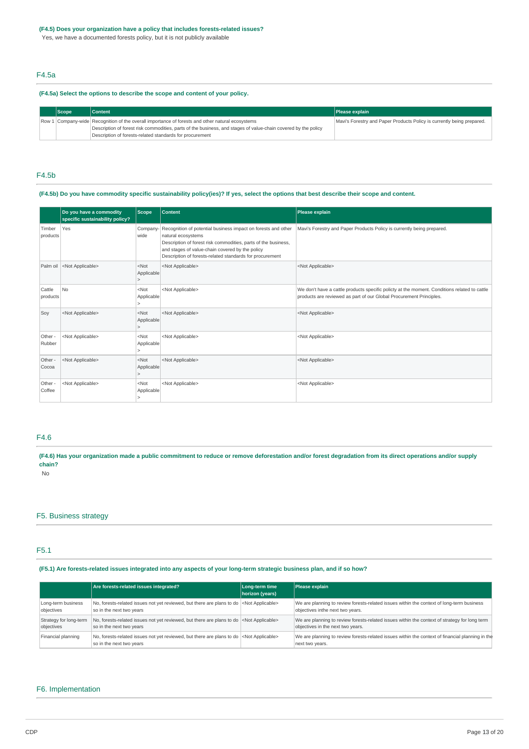### **(F4.5) Does your organization have a policy that includes forests-related issues?**

Yes, we have a documented forests policy, but it is not publicly available

# F4.5a

### **(F4.5a) Select the options to describe the scope and content of your policy.**

| <b>Scope</b> | <b>Content</b>                                                                                                                                                                                                     | <b>Please explain</b>                                                  |
|--------------|--------------------------------------------------------------------------------------------------------------------------------------------------------------------------------------------------------------------|------------------------------------------------------------------------|
|              | Row 1 Company-wide Recognition of the overall importance of forests and other natural ecosystems<br>Description of forest risk commodities, parts of the business, and stages of value-chain covered by the policy | Mavi's Forestry and Paper Products Policy is currently being prepared. |
|              | Description of forests-related standards for procurement                                                                                                                                                           |                                                                        |

# F4.5b

### (F4.5b) Do you have commodity specific sustainability policy(ies)? If yes, select the options that best describe their scope and content.

|                    | Do you have a commodity<br>specific sustainability policy? | <b>Scope</b>          | <b>Content</b>                                                                                                                                                                                                                                                       | Please explain                                                                                                                                                      |
|--------------------|------------------------------------------------------------|-----------------------|----------------------------------------------------------------------------------------------------------------------------------------------------------------------------------------------------------------------------------------------------------------------|---------------------------------------------------------------------------------------------------------------------------------------------------------------------|
| Timber<br>products | Yes                                                        | Company-<br>wide      | Recognition of potential business impact on forests and other<br>natural ecosystems<br>Description of forest risk commodities, parts of the business,<br>and stages of value-chain covered by the policy<br>Description of forests-related standards for procurement | Mavi's Forestry and Paper Products Policy is currently being prepared.                                                                                              |
| Palm oil           | <not applicable=""></not>                                  | $<$ Not<br>Applicable | <not applicable=""></not>                                                                                                                                                                                                                                            | <not applicable=""></not>                                                                                                                                           |
| Cattle<br>products | N <sub>o</sub>                                             | $<$ Not<br>Applicable | <not applicable=""></not>                                                                                                                                                                                                                                            | We don't have a cattle products specific policty at the moment. Conditions related to cattle<br>products are reviewed as part of our Global Procurement Principles. |
| Soy                | <not applicable=""></not>                                  | $<$ Not<br>Applicable | <not applicable=""></not>                                                                                                                                                                                                                                            | <not applicable=""></not>                                                                                                                                           |
| Other -<br>Rubber  | <not applicable=""></not>                                  | $<$ Not<br>Applicable | <not applicable=""></not>                                                                                                                                                                                                                                            | <not applicable=""></not>                                                                                                                                           |
| Other -<br>Cocoa   | <not applicable=""></not>                                  | $<$ Not<br>Applicable | <not applicable=""></not>                                                                                                                                                                                                                                            | <not applicable=""></not>                                                                                                                                           |
| Other -<br>Coffee  | <not applicable=""></not>                                  | $<$ Not<br>Applicable | <not applicable=""></not>                                                                                                                                                                                                                                            | <not applicable=""></not>                                                                                                                                           |

# F4.6

(F4.6) Has your organization made a public commitment to reduce or remove deforestation and/or forest degradation from its direct operations and/or supply **chain?**

No

#### F5. Business strategy

# F5.1

### (F5.1) Are forests-related issues integrated into any aspects of your long-term strategic business plan, and if so how?

|                        | Are forests-related issues integrated?                                                                                          | Long-term time<br>horizon (years) | Please explain                                                                                                      |
|------------------------|---------------------------------------------------------------------------------------------------------------------------------|-----------------------------------|---------------------------------------------------------------------------------------------------------------------|
| Long-term business     | No, forests-related issues not yet reviewed, but there are plans to do   <not applicable=""></not>                              |                                   | We are planning to review forests-related issues within the context of long-term business                           |
| objectives             | so in the next two years                                                                                                        |                                   | objectives inthe next two years.                                                                                    |
| Strategy for long-term | No, forests-related issues not yet reviewed, but there are plans to do <not applicable=""></not>                                |                                   | We are planning to review forests-related issues within the context of strategy for long term                       |
| objectives             | so in the next two years                                                                                                        |                                   | objectives in the next two years.                                                                                   |
| Financial planning     | No, forests-related issues not yet reviewed, but there are plans to do   <not applicable=""><br/>so in the next two years</not> |                                   | We are planning to review forests-related issues within the context of financial planning in the<br>next two years. |

### F6. Implementation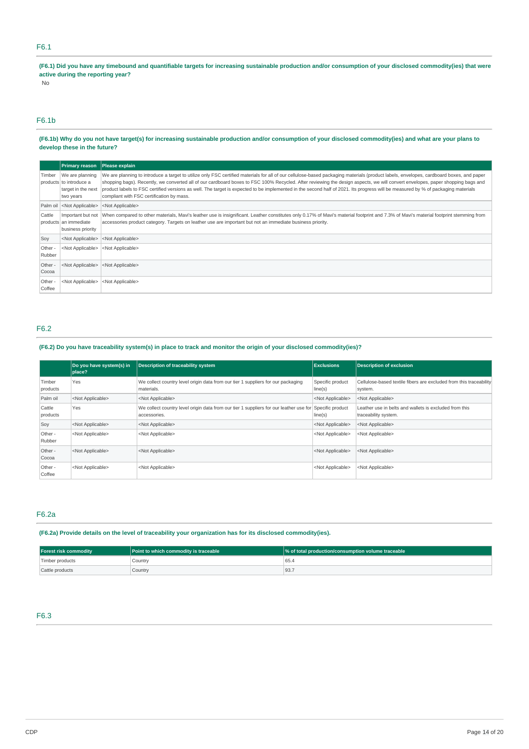# F6.1

(F6.1) Did you have any timebound and quantifiable targets for increasing sustainable production and/or consumption of your disclosed commodity(ies) that were **active during the reporting year?**

No

## F6.1b

### (F6.1b) Why do you not have target(s) for increasing sustainable production and/or consumption of your disclosed commodity(ies) and what are your plans to **develop these in the future?**

|                   | <b>Primary reason</b>                                                         | Please explain                                                                                                                                                                                                                                                                                                                                                                                                                                                                                                                                                                                             |
|-------------------|-------------------------------------------------------------------------------|------------------------------------------------------------------------------------------------------------------------------------------------------------------------------------------------------------------------------------------------------------------------------------------------------------------------------------------------------------------------------------------------------------------------------------------------------------------------------------------------------------------------------------------------------------------------------------------------------------|
| Timber            | We are planning<br>products to introduce a<br>target in the next<br>two years | We are planning to introduce a target to utilize only FSC certified materials for all of our cellulose-based packaging materials (product labels, envelopes, cardboard boxes, and paper<br>shopping bags). Recently, we converted all of our cardboard boxes to FSC 100% Recycled. After reviewing the design aspects, we will convert envelopes, paper shopping bags and<br>product labels to FSC certified versions as well. The target is expected to be implemented in the second half of 2021. Its progress will be measured by % of packaging materials<br>compliant with FSC certification by mass. |
|                   | Palm oil <not applicable=""></not>                                            | <not applicable=""></not>                                                                                                                                                                                                                                                                                                                                                                                                                                                                                                                                                                                  |
| Cattle            | Important but not<br>products an immediate<br>business priority               | When compared to other materials, Mavi's leather use is insignificant. Leather constitutes only 0.17% of Mavi's material footprint and 7.3% of Mavi's material footprint stemming from<br>accessories product category. Targets on leather use are important but not an immediate business priority.                                                                                                                                                                                                                                                                                                       |
| Soy               | <not applicable=""></not>                                                     | <not applicable=""></not>                                                                                                                                                                                                                                                                                                                                                                                                                                                                                                                                                                                  |
| Other -<br>Rubber | <not applicable=""></not>                                                     | <not applicable=""></not>                                                                                                                                                                                                                                                                                                                                                                                                                                                                                                                                                                                  |
| Other -<br>Cocoa  | <not applicable=""></not>                                                     | <not applicable=""></not>                                                                                                                                                                                                                                                                                                                                                                                                                                                                                                                                                                                  |
| Other -<br>Coffee | <not applicable=""></not>                                                     | <not applicable=""></not>                                                                                                                                                                                                                                                                                                                                                                                                                                                                                                                                                                                  |

# F6.2

# (F6.2) Do you have traceability system(s) in place to track and monitor the origin of your disclosed commodity(ies)?

|                    | Do you have system(s) in<br>place? | <b>Description of traceability system</b>                                                              | <b>Exclusions</b>           | <b>Description of exclusion</b>                                                |
|--------------------|------------------------------------|--------------------------------------------------------------------------------------------------------|-----------------------------|--------------------------------------------------------------------------------|
| Timber<br>products | Yes                                | We collect country level origin data from our tier 1 suppliers for our packaging<br>materials.         | Specific product<br>line(s) | Cellulose-based textile fibers are excluded from this traceability<br>system.  |
| Palm oil           | <not applicable=""></not>          | <not applicable=""></not>                                                                              | <not applicable=""></not>   | <not applicable=""></not>                                                      |
| Cattle<br>products | Yes                                | We collect country level origin data from our tier 1 suppliers for our leather use for<br>accessories. | Specific product<br>line(s) | Leather use in belts and wallets is excluded from this<br>traceability system. |
| Soy                | <not applicable=""></not>          | <not applicable=""></not>                                                                              | <not applicable=""></not>   | <not applicable=""></not>                                                      |
| Other -<br>Rubber  | <not applicable=""></not>          | <not applicable=""></not>                                                                              | <not applicable=""></not>   | <not applicable=""></not>                                                      |
| Other -<br>Cocoa   | <not applicable=""></not>          | <not applicable=""></not>                                                                              | <not applicable=""></not>   | <not applicable=""></not>                                                      |
| Other -<br>Coffee  | <not applicable=""></not>          | <not applicable=""></not>                                                                              | <not applicable=""></not>   | <not applicable=""></not>                                                      |

# F6.2a

# **(F6.2a) Provide details on the level of traceability your organization has for its disclosed commodity(ies).**

| <b>Forest risk commodity</b> | <b>Point to which commodity is traceable</b> | % of total production/consumption volume traceable |
|------------------------------|----------------------------------------------|----------------------------------------------------|
| Timber products              | Country                                      | 65.4                                               |
| Cattle products              | Country                                      | 93.7                                               |

# F6.3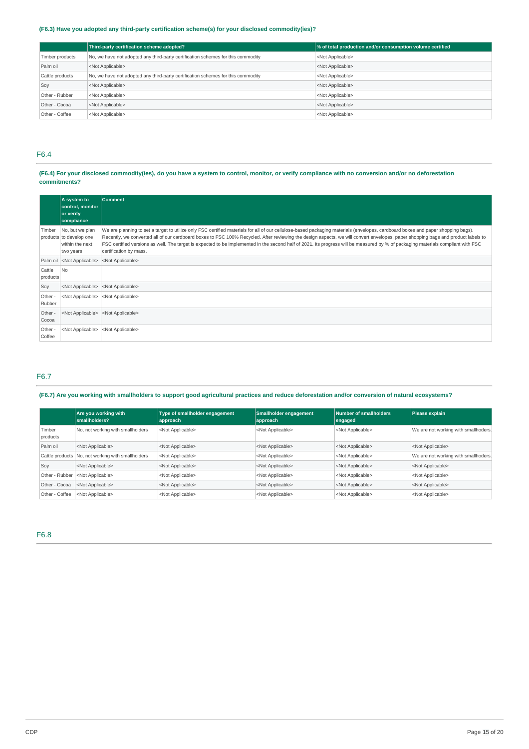# **(F6.3) Have you adopted any third-party certification scheme(s) for your disclosed commodity(ies)?**

|                 | Third-party certification scheme adopted?                                        | % of total production and/or consumption volume certified |
|-----------------|----------------------------------------------------------------------------------|-----------------------------------------------------------|
| Timber products | No, we have not adopted any third-party certification schemes for this commodity | <not applicable=""></not>                                 |
| Palm oil        | <not applicable=""></not>                                                        | <not applicable=""></not>                                 |
| Cattle products | No, we have not adopted any third-party certification schemes for this commodity | <not applicable=""></not>                                 |
| Soy             | <not applicable=""></not>                                                        | <not applicable=""></not>                                 |
| Other - Rubber  | <not applicable=""></not>                                                        | <not applicable=""></not>                                 |
| Other - Cocoa   | <not applicable=""></not>                                                        | <not applicable=""></not>                                 |
| Other - Coffee  | <not applicable=""></not>                                                        | <not applicable=""></not>                                 |

# F6.4

# (F6.4) For your disclosed commodity(ies), do you have a system to control, monitor, or verify compliance with no conversion and/or no deforestation **commitments?**

|                    | A system to<br>control, monitor<br>or verify<br>compliance                 | <b>Comment</b>                                                                                                                                                                                                                                                                                                                                                                                                                                                                                                                                                                      |
|--------------------|----------------------------------------------------------------------------|-------------------------------------------------------------------------------------------------------------------------------------------------------------------------------------------------------------------------------------------------------------------------------------------------------------------------------------------------------------------------------------------------------------------------------------------------------------------------------------------------------------------------------------------------------------------------------------|
| Timber             | No, but we plan<br>products to develop one<br>within the next<br>two years | We are planning to set a target to utilize only FSC certified materials for all of our cellulose-based packaging materials (envelopes, cardboard boxes and paper shopping bags).<br>Recently, we converted all of our cardboard boxes to FSC 100% Recycled. After reviewing the design aspects, we will convert envelopes, paper shopping bags and product labels to<br>FSC certified versions as well. The target is expected to be implemented in the second half of 2021. Its progress will be measured by % of packaging materials compliant with FSC<br>certification by mass. |
| Palm oil           | <not applicable=""></not>                                                  | <not applicable=""></not>                                                                                                                                                                                                                                                                                                                                                                                                                                                                                                                                                           |
| Cattle<br>products | N <sub>0</sub>                                                             |                                                                                                                                                                                                                                                                                                                                                                                                                                                                                                                                                                                     |
| Soy                | <not applicable=""></not>                                                  | <not applicable=""></not>                                                                                                                                                                                                                                                                                                                                                                                                                                                                                                                                                           |
| Other -<br>Rubber  | <not applicable=""></not>                                                  | <not applicable=""></not>                                                                                                                                                                                                                                                                                                                                                                                                                                                                                                                                                           |
| Other -<br>Cocoa   | <not applicable=""></not>                                                  | <not applicable=""></not>                                                                                                                                                                                                                                                                                                                                                                                                                                                                                                                                                           |
| Other -<br>Coffee  | <not applicable=""></not>                                                  | <not applicable=""></not>                                                                                                                                                                                                                                                                                                                                                                                                                                                                                                                                                           |

# F6.7

# (F6.7) Are you working with smallholders to support good agricultural practices and reduce deforestation and/or conversion of natural ecosystems?

|                    | Are you working with<br>smallholders?             | Type of smallholder engagement<br>approach | Smallholder engagement<br>approach | Number of smallholders<br>engaged | Please explain                       |
|--------------------|---------------------------------------------------|--------------------------------------------|------------------------------------|-----------------------------------|--------------------------------------|
| Timber<br>products | No, not working with smallholders                 | <not applicable=""></not>                  | <not applicable=""></not>          | <not applicable=""></not>         | We are not working with smallhoders. |
| Palm oil           | <not applicable=""></not>                         | <not applicable=""></not>                  | <not applicable=""></not>          | <not applicable=""></not>         | <not applicable=""></not>            |
|                    | Cattle products No, not working with smallholders | <not applicable=""></not>                  | <not applicable=""></not>          | <not applicable=""></not>         | We are not working with smallhoders. |
| Soy                | <not applicable=""></not>                         | <not applicable=""></not>                  | <not applicable=""></not>          | <not applicable=""></not>         | <not applicable=""></not>            |
| Other - Rubber     | <not applicable=""></not>                         | <not applicable=""></not>                  | <not applicable=""></not>          | <not applicable=""></not>         | <not applicable=""></not>            |
| Other - Cocoa      | <not applicable=""></not>                         | <not applicable=""></not>                  | <not applicable=""></not>          | <not applicable=""></not>         | <not applicable=""></not>            |
| Other - Coffee     | <not applicable=""></not>                         | <not applicable=""></not>                  | <not applicable=""></not>          | <not applicable=""></not>         | <not applicable=""></not>            |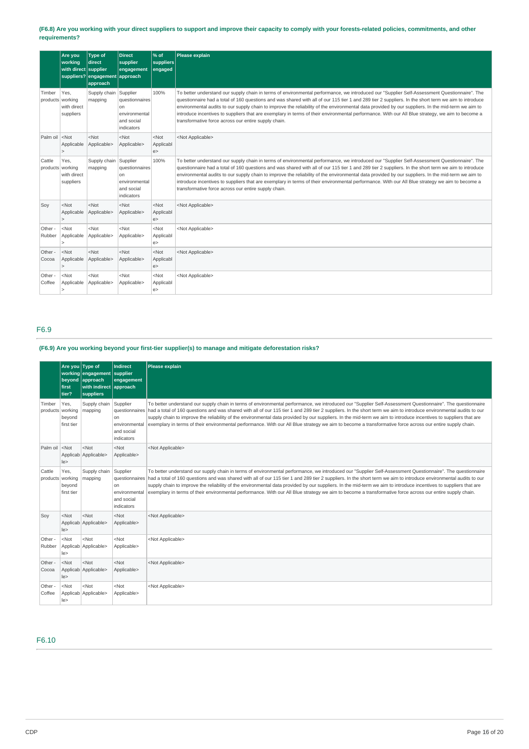### (F6.8) Are you working with your direct suppliers to support and improve their capacity to comply with your forests-related policies, commitments, and other **requirements?**

|                                                                                                                                                                                                                                             | Are you<br>working<br>with direct supplier | <b>Type of</b><br>direct<br>suppliers? engagement approach<br>approach | <b>Direct</b><br>supplier<br>engagement                           | % of<br>suppliers<br>engaged | Please explain                                                                                                                                                                                                                                                                                                                                                                                                                                                                                                                                                                                                                                                         |
|---------------------------------------------------------------------------------------------------------------------------------------------------------------------------------------------------------------------------------------------|--------------------------------------------|------------------------------------------------------------------------|-------------------------------------------------------------------|------------------------------|------------------------------------------------------------------------------------------------------------------------------------------------------------------------------------------------------------------------------------------------------------------------------------------------------------------------------------------------------------------------------------------------------------------------------------------------------------------------------------------------------------------------------------------------------------------------------------------------------------------------------------------------------------------------|
| Timber<br>products working                                                                                                                                                                                                                  | Yes.<br>with direct<br>suppliers           | Supply chain Supplier<br>mapping                                       | questionnaires<br>on<br>environmental<br>and social<br>indicators | 100%                         | To better understand our supply chain in terms of environmental performance, we introduced our "Supplier Self-Assessment Questionnaire". The<br>questionnaire had a total of 160 questions and was shared with all of our 115 tier 1 and 289 tier 2 suppliers. In the short term we aim to introduce<br>environmental audits to our supply chain to improve the reliability of the environmental data provided by our suppliers. In the mid-term we aim to<br>introduce incentives to suppliers that are exemplary in terms of their environmental performance. With our All Blue strategy, we aim to become a<br>transformative force across our entire supply chain. |
| Palm oil <not< td=""><td>Applicable<br/>&gt;</td><td><math>&lt;</math>Not<br/>Applicable&gt;</td><td><math>&lt;</math>Not<br/>Applicable&gt;</td><td><math>&lt;</math>Not<br/>Applicabl<br/>e</td><td><not applicable=""></not></td></not<> | Applicable<br>>                            | $<$ Not<br>Applicable>                                                 | $<$ Not<br>Applicable>                                            | $<$ Not<br>Applicabl<br>e    | <not applicable=""></not>                                                                                                                                                                                                                                                                                                                                                                                                                                                                                                                                                                                                                                              |
| Cattle<br>products working                                                                                                                                                                                                                  | Yes,<br>with direct<br>suppliers           | Supply chain Supplier<br>mapping                                       | questionnaires<br>on<br>environmental<br>and social<br>indicators | 100%                         | To better understand our supply chain in terms of environmental performance, we introduced our "Supplier Self-Assessment Questionnaire". The<br>questionnaire had a total of 160 questions and was shared with all of our 115 tier 1 and 289 tier 2 suppliers. In the short term we aim to introduce<br>environmental audits to our supply chain to improve the reliability of the environmental data provided by our suppliers. In the mid-term we aim to<br>introduce incentives to suppliers that are exemplary in terms of their environmental performance. With our All Blue strategy we aim to become a<br>transformative force across our entire supply chain.  |
| Soy                                                                                                                                                                                                                                         | $<$ Not<br>Applicable<br>>                 | $<$ Not<br>Applicable>                                                 | $<$ Not<br>Applicable>                                            | $<$ Not<br>Applicabl<br>e >  | <not applicable=""></not>                                                                                                                                                                                                                                                                                                                                                                                                                                                                                                                                                                                                                                              |
| Other -<br>Rubber                                                                                                                                                                                                                           | $<$ Not<br>Applicable                      | $<$ Not<br>Applicable>                                                 | $<$ Not<br>Applicable>                                            | $<$ Not<br>Applicabl<br>e    | <not applicable=""></not>                                                                                                                                                                                                                                                                                                                                                                                                                                                                                                                                                                                                                                              |
| Other -<br>Cocoa                                                                                                                                                                                                                            | $<$ Not<br>Applicable<br>5                 | $<$ Not<br>Applicable>                                                 | $<$ Not<br>Applicable>                                            | $<$ Not<br>Applicabl<br>e    | <not applicable=""></not>                                                                                                                                                                                                                                                                                                                                                                                                                                                                                                                                                                                                                                              |
| Other -<br>Coffee                                                                                                                                                                                                                           | $<$ Not<br>Applicable<br>$\geq$            | $<$ Not<br>Applicable>                                                 | $<$ Not<br>Applicable>                                            | $<$ Not<br>Applicabl<br>e    | <not applicable=""></not>                                                                                                                                                                                                                                                                                                                                                                                                                                                                                                                                                                                                                                              |

# F6.9

# **(F6.9) Are you working beyond your first-tier supplier(s) to manage and mitigate deforestation risks?**

|                                                                                                                                                                                      | Are you Type of<br>first<br>tier? | working engagement<br>beyond approach<br>with indirect approach<br>suppliers | Indirect<br>supplier<br>engagement                                     | Please explain                                                                                                                                                                                                                                                                                                                                                                                                                                                                                                                                                                                                                                                                    |
|--------------------------------------------------------------------------------------------------------------------------------------------------------------------------------------|-----------------------------------|------------------------------------------------------------------------------|------------------------------------------------------------------------|-----------------------------------------------------------------------------------------------------------------------------------------------------------------------------------------------------------------------------------------------------------------------------------------------------------------------------------------------------------------------------------------------------------------------------------------------------------------------------------------------------------------------------------------------------------------------------------------------------------------------------------------------------------------------------------|
| Timber<br>products working                                                                                                                                                           | Yes,<br>beyond<br>first tier      | Supply chain<br>mapping                                                      | Supplier<br><sub>on</sub><br>environmental<br>and social<br>indicators | To better understand our supply chain in terms of environmental performance, we introduced our "Supplier Self-Assessment Questionnaire". The questionnaire<br>questionnaires had a total of 160 questions and was shared with all of our 115 tier 1 and 289 tier 2 suppliers. In the short term we aim to introduce environmental audits to our<br>supply chain to improve the reliability of the environmental data provided by our suppliers. In the mid-term we aim to introduce incentives to suppliers that are<br>exemplary in terms of their environmental performance. With our All Blue strategy we aim to become a transformative force across our entire supply chain. |
| Palm oil <not< td=""><td>le</td><td><math>&lt;</math>Not<br/>Applicab   Applicable&gt;</td><td><math>&lt;</math>Not<br/>Applicable&gt;</td><td><not applicable=""></not></td></not<> | le                                | $<$ Not<br>Applicab   Applicable>                                            | $<$ Not<br>Applicable>                                                 | <not applicable=""></not>                                                                                                                                                                                                                                                                                                                                                                                                                                                                                                                                                                                                                                                         |
| Cattle<br>products working                                                                                                                                                           | Yes.<br>beyond<br>first tier      | Supply chain<br>mapping                                                      | Supplier<br><b>on</b><br>environmental<br>and social<br>indicators     | To better understand our supply chain in terms of environmental performance, we introduced our "Supplier Self-Assessment Questionnaire". The questionnaire<br>questionnaires had a total of 160 questions and was shared with all of our 115 tier 1 and 289 tier 2 suppliers. In the short term we aim to introduce environmental audits to our<br>supply chain to improve the reliability of the environmental data provided by our suppliers. In the mid-term we aim to introduce incentives to suppliers that are<br>exemplary in terms of their environmental performance. With our All Blue strategy we aim to become a transformative force across our entire supply chain. |
| Soy                                                                                                                                                                                  | $<$ Not<br> e>                    | $<$ Not<br>Applicab Applicable>                                              | N<br>Applicable>                                                       | <not applicable=""></not>                                                                                                                                                                                                                                                                                                                                                                                                                                                                                                                                                                                                                                                         |
| Other -<br>Rubber                                                                                                                                                                    | $<$ Not<br> e>                    | $<$ Not<br>Applicab Applicable>                                              | $<$ Not<br>Applicable>                                                 | <not applicable=""></not>                                                                                                                                                                                                                                                                                                                                                                                                                                                                                                                                                                                                                                                         |
| Other -<br>Cocoa                                                                                                                                                                     | $<$ Not<br> e>                    | $<$ Not<br>Applicab Applicable>                                              | $<$ Not<br>Applicable>                                                 | <not applicable=""></not>                                                                                                                                                                                                                                                                                                                                                                                                                                                                                                                                                                                                                                                         |
| Other -<br>Coffee                                                                                                                                                                    | $<$ Not<br> e>                    | $<$ Not<br>Applicab Applicable>                                              | $<$ Not<br>Applicable>                                                 | <not applicable=""></not>                                                                                                                                                                                                                                                                                                                                                                                                                                                                                                                                                                                                                                                         |

# F6.10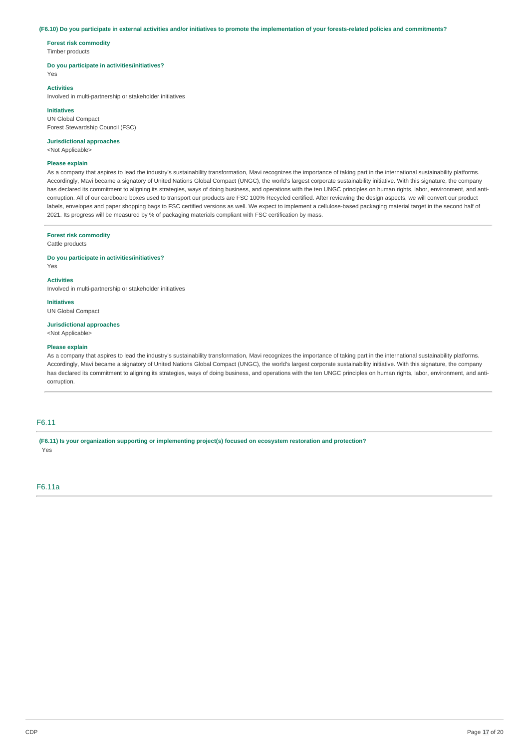#### (F6.10) Do you participate in external activities and/or initiatives to promote the implementation of your forests-related policies and commitments?

**Forest risk commodity** Timber products

#### **Do you participate in activities/initiatives?**

Yes

#### **Activities**

Involved in multi-partnership or stakeholder initiatives

#### **Initiatives**

UN Global Compact Forest Stewardship Council (FSC)

### **Jurisdictional approaches**

<Not Applicable>

### **Please explain**

As a company that aspires to lead the industry's sustainability transformation, Mavi recognizes the importance of taking part in the international sustainability platforms. Accordingly, Mavi became a signatory of United Nations Global Compact (UNGC), the world's largest corporate sustainability initiative. With this signature, the company has declared its commitment to aligning its strategies, ways of doing business, and operations with the ten UNGC principles on human rights, labor, environment, and anticorruption. All of our cardboard boxes used to transport our products are FSC 100% Recycled certified. After reviewing the design aspects, we will convert our product labels, envelopes and paper shopping bags to FSC certified versions as well. We expect to implement a cellulose-based packaging material target in the second half of 2021. Its progress will be measured by % of packaging materials compliant with FSC certification by mass.

#### **Forest risk commodity**

Cattle products

**Do you participate in activities/initiatives?**

Yes

### **Activities**

Involved in multi-partnership or stakeholder initiatives

**Initiatives**

# UN Global Compact

**Jurisdictional approaches**

<Not Applicable>

### **Please explain**

As a company that aspires to lead the industry's sustainability transformation, Mavi recognizes the importance of taking part in the international sustainability platforms. Accordingly, Mavi became a signatory of United Nations Global Compact (UNGC), the world's largest corporate sustainability initiative. With this signature, the company has declared its commitment to aligning its strategies, ways of doing business, and operations with the ten UNGC principles on human rights, labor, environment, and anticorruption.

# F6.11

**(F6.11) Is your organization supporting or implementing project(s) focused on ecosystem restoration and protection?** Yes

F6.11a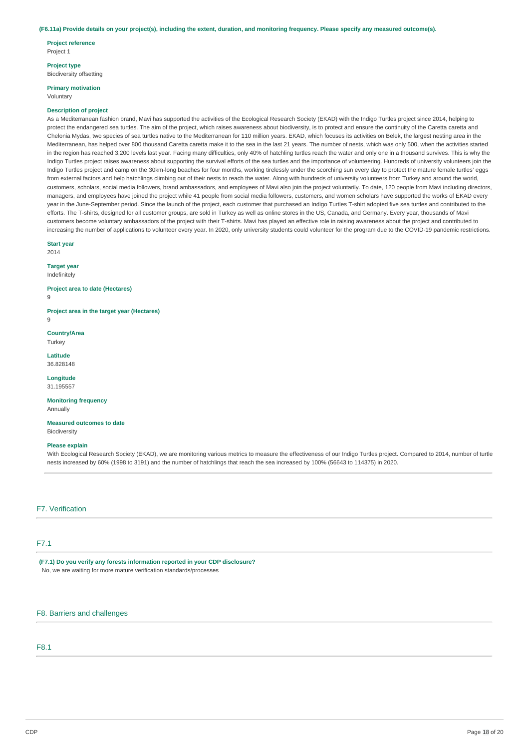#### (F6.11a) Provide details on your project(s), including the extent, duration, and monitoring frequency. Please specify any measured outcome(s).

**Project reference** Project 1

**Project type**

Biodiversity offsetting

**Primary motivation**

Voluntary

#### **Description of project**

As a Mediterranean fashion brand, Mavi has supported the activities of the Ecological Research Society (EKAD) with the Indigo Turtles project since 2014, helping to protect the endangered sea turtles. The aim of the project, which raises awareness about biodiversity, is to protect and ensure the continuity of the Caretta caretta and Chelonia Mydas, two species of sea turtles native to the Mediterranean for 110 million years. EKAD, which focuses its activities on Belek, the largest nesting area in the Mediterranean, has helped over 800 thousand Caretta caretta make it to the sea in the last 21 years. The number of nests, which was only 500, when the activities started in the region has reached 3,200 levels last year. Facing many difficulties, only 40% of hatchling turtles reach the water and only one in a thousand survives. This is why the Indigo Turtles project raises awareness about supporting the survival efforts of the sea turtles and the importance of volunteering. Hundreds of university volunteers join the Indigo Turtles project and camp on the 30km-long beaches for four months, working tirelessly under the scorching sun every day to protect the mature female turtles' eggs from external factors and help hatchlings climbing out of their nests to reach the water. Along with hundreds of university volunteers from Turkey and around the world, customers, scholars, social media followers, brand ambassadors, and employees of Mavi also join the project voluntarily. To date, 120 people from Mavi including directors, managers, and employees have joined the project while 41 people from social media followers, customers, and women scholars have supported the works of EKAD every year in the June-September period. Since the launch of the project, each customer that purchased an Indigo Turtles T-shirt adopted five sea turtles and contributed to the efforts. The T-shirts, designed for all customer groups, are sold in Turkey as well as online stores in the US, Canada, and Germany. Every year, thousands of Mavi customers become voluntary ambassadors of the project with their T-shirts. Mavi has played an effective role in raising awareness about the project and contributed to increasing the number of applications to volunteer every year. In 2020, only university students could volunteer for the program due to the COVID-19 pandemic restrictions.

### **Start year**

2014

#### **Target year** Indefinitely

**Project area to date (Hectares)** 9

**Project area in the target year (Hectares)**

9

**Country/Area** Turkey

**Latitude** 36.828148

**Longitude** 31.195557

**Monitoring frequency Annually** 

**Measured outcomes to date** Biodiversity

### **Please explain**

With Ecological Research Society (EKAD), we are monitoring various metrics to measure the effectiveness of our Indigo Turtles project. Compared to 2014, number of turtle nests increased by 60% (1998 to 3191) and the number of hatchlings that reach the sea increased by 100% (56643 to 114375) in 2020.

### F7. Verification

# F7.1

**(F7.1) Do you verify any forests information reported in your CDP disclosure?** No, we are waiting for more mature verification standards/processes

F8. Barriers and challenges

# F8.1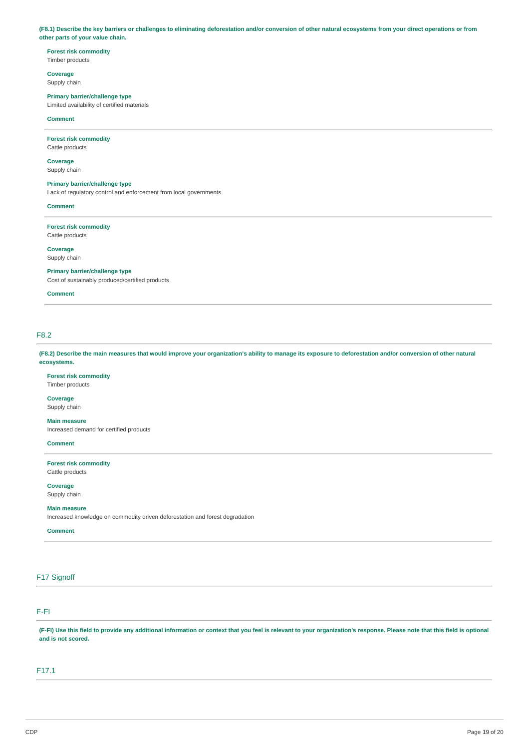(F8.1) Describe the key barriers or challenges to eliminating deforestation and/or conversion of other natural ecosystems from your direct operations or from **other parts of your value chain.**

# **Forest risk commodity**

Timber products

# **Coverage**

Supply chain

#### **Primary barrier/challenge type** Limited availability of certified materials

**Comment**

#### **Forest risk commodity** Cattle products

**Coverage**

# Supply chain

# **Primary barrier/challenge type**

Lack of regulatory control and enforcement from local governments

### **Comment**

**Forest risk commodity**

Cattle products

**Coverage** Supply chain

**Primary barrier/challenge type**

Cost of sustainably produced/certified products

### **Comment**

# F8.2

(F8.2) Describe the main measures that would improve your organization's ability to manage its exposure to deforestation and/or conversion of other natural **ecosystems.**

### **Forest risk commodity** Timber products

**Coverage**

Supply chain

### **Main measure**

Increased demand for certified products

## **Comment**

**Forest risk commodity** Cattle products

**Coverage**

Supply chain

### **Main measure**

Increased knowledge on commodity driven deforestation and forest degradation

### **Comment**

# F17 Signoff

# F-FI

(F-FI) Use this field to provide any additional information or context that you feel is relevant to your organization's response. Please note that this field is optional **and is not scored.**

## F17.1